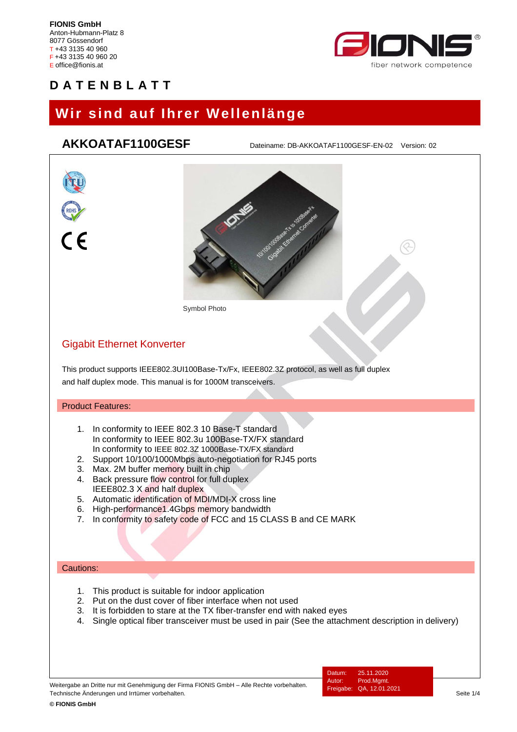

# **Wir sind auf Ihrer Wellenlänge**

## **AKKOATAF1100GESF** Dateiname: DB-AKKOATAF1100GESF-EN-02 Version: 02

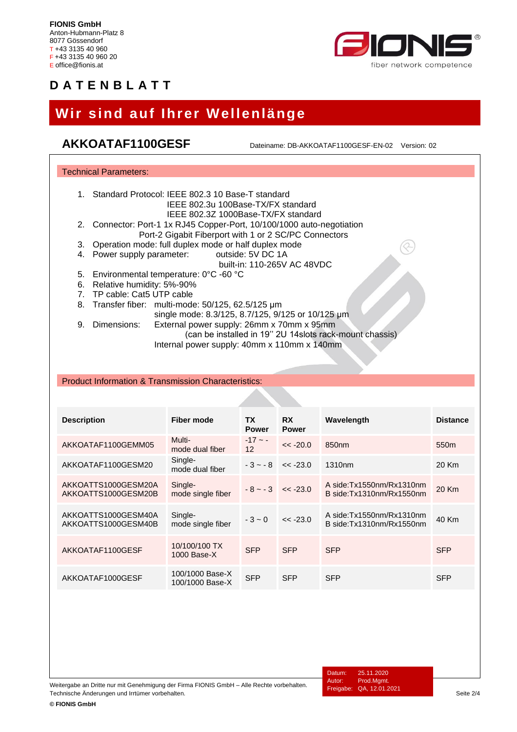

# **Wir sind auf Ihrer Wellenlänge**

## AKKOATAF1100GESF Dateiname: DB-AKKOATAF1100GESF-EN-02 Version: 02

| <b>Technical Parameters:</b>                                                                                                                                                                                                                                                                  |                                    |                              |                           |                                                      |                 |  |  |  |
|-----------------------------------------------------------------------------------------------------------------------------------------------------------------------------------------------------------------------------------------------------------------------------------------------|------------------------------------|------------------------------|---------------------------|------------------------------------------------------|-----------------|--|--|--|
| Standard Protocol: IEEE 802.3 10 Base-T standard<br>$1_{\cdot}$<br>IEEE 802.3u 100Base-TX/FX standard                                                                                                                                                                                         |                                    |                              |                           |                                                      |                 |  |  |  |
| IEEE 802.3Z 1000Base-TX/FX standard<br>2.<br>Connector: Port-1 1x RJ45 Copper-Port, 10/100/1000 auto-negotiation<br>Port-2 Gigabit Fiberport with 1 or 2 SC/PC Connectors<br>Operation mode: full duplex mode or half duplex mode<br>3.<br>outside: 5V DC 1A<br>Power supply parameter:<br>4. |                                    |                              |                           |                                                      |                 |  |  |  |
| built-in: 110-265V AC 48VDC<br>5. Environmental temperature: 0°C -60 °C<br>6. Relative humidity: 5%-90%<br>TP cable: Cat5 UTP cable<br>7.                                                                                                                                                     |                                    |                              |                           |                                                      |                 |  |  |  |
| Transfer fiber: multi-mode: 50/125, 62.5/125 µm<br>8.<br>single mode: 8.3/125, 8.7/125, 9/125 or 10/125 µm<br>External power supply: 26mm x 70mm x 95mm<br>9.<br>Dimensions:<br>(can be installed in 19" 2U 14slots rack-mount chassis)<br>Internal power supply: 40mm x 110mm x 140mm        |                                    |                              |                           |                                                      |                 |  |  |  |
| <b>Product Information &amp; Transmission Characteristics:</b>                                                                                                                                                                                                                                |                                    |                              |                           |                                                      |                 |  |  |  |
|                                                                                                                                                                                                                                                                                               |                                    |                              |                           |                                                      |                 |  |  |  |
| <b>Description</b>                                                                                                                                                                                                                                                                            | <b>Fiber mode</b>                  | ТX<br><b>Power</b>           | <b>RX</b><br><b>Power</b> | Wavelength                                           | <b>Distance</b> |  |  |  |
| AKKOATAF1100GEMM05                                                                                                                                                                                                                                                                            | Multi-<br>mode dual fiber          | $-17 - -$<br>12 <sup>2</sup> | $<< -20.0$                | 850 <sub>nm</sub>                                    | 550m            |  |  |  |
| AKKOATAF1100GESM20                                                                                                                                                                                                                                                                            | Single-<br>mode dual fiber         | $-3 - -8$                    | $<< -23.0$                | 1310nm                                               | 20 Km           |  |  |  |
| AKKOATTS1000GESM20A<br>AKKOATTS1000GESM20B                                                                                                                                                                                                                                                    | Single-<br>mode single fiber       | $-8 - -3$                    | $<< -23.0$                | A side:Tx1550nm/Rx1310nm<br>B side:Tx1310nm/Rx1550nm | 20 Km           |  |  |  |
| AKKOATTS1000GESM40A<br>AKKOATTS1000GESM40B                                                                                                                                                                                                                                                    | Single-<br>mode single fiber       | $-3 - 0$                     | $<< -23.0$                | A side:Tx1550nm/Rx1310nm<br>B side:Tx1310nm/Rx1550nm | 40 Km           |  |  |  |
| AKKOATAF1100GESF                                                                                                                                                                                                                                                                              | 10/100/100 TX<br>1000 Base-X       | <b>SFP</b>                   | <b>SFP</b>                | <b>SFP</b>                                           | <b>SFP</b>      |  |  |  |
| AKKOATAF1000GESF                                                                                                                                                                                                                                                                              | 100/1000 Base-X<br>100/1000 Base-X | <b>SFP</b>                   | <b>SFP</b>                | <b>SFP</b>                                           | <b>SFP</b>      |  |  |  |

Weitergabe an Dritte nur mit Genehmigung der Firma FIONIS GmbH – Alle Rechte vorbehalten. Technische Änderungen und Irrtümer vorbehalten.<br>Technische Änderungen und Irrtümer vorbehalten. Seite 2/4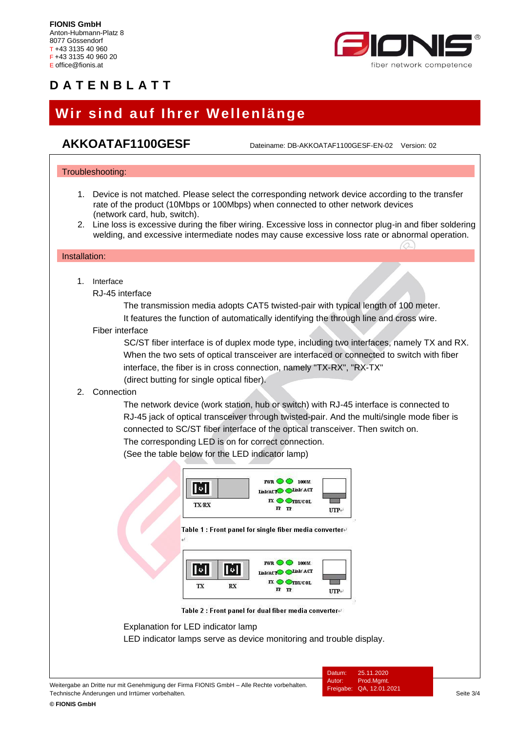

# **Wir sind auf Ihrer Wellenlänge**

**AKKOATAF1100GESF** Dateiname: DB-AKKOATAF1100GESF-EN-02 Version: <sup>02</sup>

### Troubleshooting:

- 1. Device is not matched. Please select the corresponding network device according to the transfer rate of the product (10Mbps or 100Mbps) when connected to other network devices (network card, hub, switch).
- 2. Line loss is excessive during the fiber wiring. Excessive loss in connector plug-in and fiber soldering welding, and excessive intermediate nodes may cause excessive loss rate or abnormal operation.

### Installation:

1. Interface

RJ-45 interface

The transmission media adopts CAT5 twisted-pair with typical length of 100 meter.

It features the function of automatically identifying the through line and cross wire.

### Fiber interface

SC/ST fiber interface is of duplex mode type, including two interfaces, namely TX and RX. When the two sets of optical transceiver are interfaced or connected to switch with fiber interface, the fiber is in cross connection, namely "TX-RX", "RX-TX" (direct butting for single optical fiber).

### 2. Connection

The network device (work station, hub or switch) with RJ-45 interface is connected to RJ-45 jack of optical transceiver through twisted-pair. And the multi/single mode fiber is connected to SC/ST fiber interface of the optical transceiver. Then switch on. The corresponding LED is on for correct connection.

(See the table below for the LED indicator lamp)



Table 1 : Front panel for single fiber media converter-



Table 2 : Front panel for dual fiber media converter

Explanation for LED indicator lamp

LED indicator lamps serve as device monitoring and trouble display.